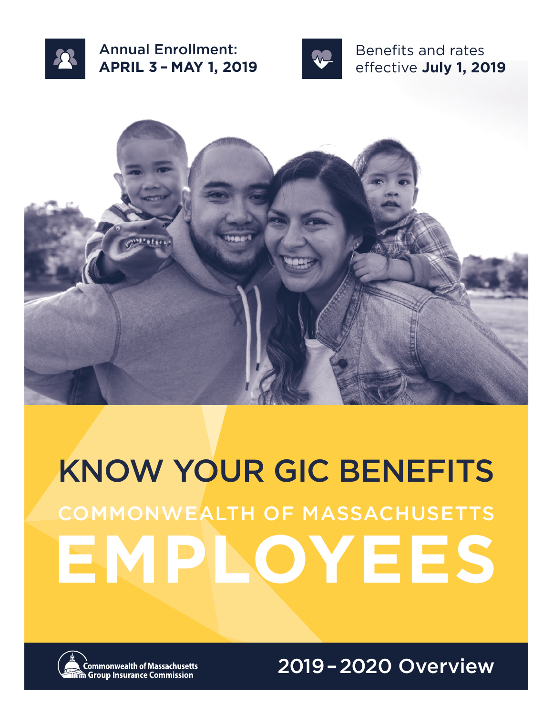

Annual Enrollment: **APRIL 3 – MAY 1, 2019**



Benefits and rates effective **July 1, 2019**



# KNOW YOUR GIC BENEFITS **EMPL O YEES** COMMONWEALTH OF MA SSACHUSETTS



**Commonwealth of Massachusetts े Group Insurance Commission** 

2019–2020 Overview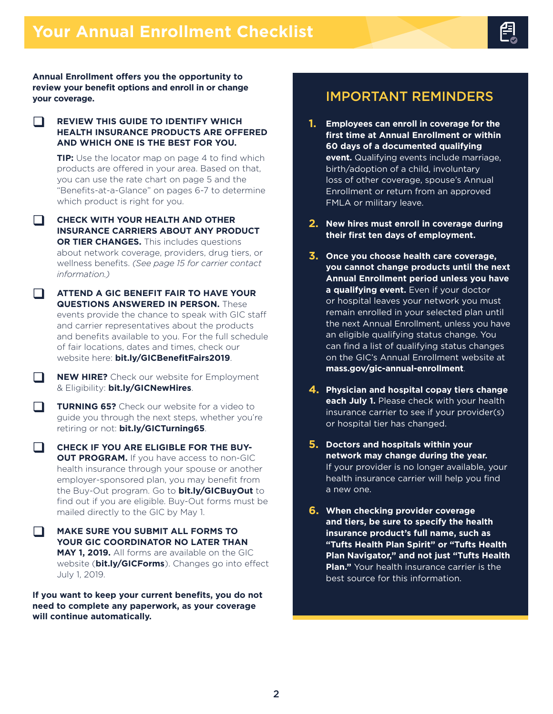**Annual Enrollment offers you the opportunity to review your benefit options and enroll in or change your coverage.**

#### $\Box$ **REVIEW THIS GUIDE TO IDENTIFY WHICH HEALTH INSURANCE PRODUCTS ARE OFFERED AND WHICH ONE IS THE BEST FOR YOU.**

**TIP:** Use the locator map on page 4 to find which products are offered in your area. Based on that, you can use the rate chart on page 5 and the "Benefits-at-a-Glance" on pages 6-7 to determine which product is right for you.

 $\Box$ **CHECK WITH YOUR HEALTH AND OTHER INSURANCE CARRIERS ABOUT ANY PRODUCT OR TIER CHANGES.** This includes questions about network coverage, providers, drug tiers, or wellness benefits. *(See page 15 for carrier contact information.)*

**ATTEND A GIC BENEFIT FAIR TO HAVE YOUR QUESTIONS ANSWERED IN PERSON.** These events provide the chance to speak with GIC staff and carrier representatives about the products and benefits available to you. For the full schedule of fair locations, dates and times, check our website here: **[bit.ly/GICBenefitFairs2019](http://bit.ly/GICBenefitFairs2019)**.

 $\Box$ **NEW HIRE?** Check our website for Employment & Eligibility: **[bit.ly/GICNewHires](http://bit.ly/GICNewHires)**.

 $\Box$ **TURNING 65?** Check our website for a video to guide you through the next steps, whether you're retiring or not: **[bit.ly/GICTurning65](http://bit.ly/GICTurning65)**.

 $\Box$ **CHECK IF YOU ARE ELIGIBLE FOR THE BUY-OUT PROGRAM.** If you have access to non-GIC health insurance through your spouse or another employer-sponsored plan, you may benefit from the Buy-Out program. Go to **[bit.ly/GICBuyOut](http://bit.ly/GICBuyOut)** to find out if you are eligible. Buy-Out forms must be mailed directly to the GIC by May 1.

 $\Box$ **MAKE SURE YOU SUBMIT ALL FORMS TO YOUR GIC COORDINATOR NO LATER THAN MAY 1, 2019.** All forms are available on the GIC website (**[bit.ly/GICForms](http://bit.ly/GICForms)**). Changes go into effect July 1, 2019.

**If you want to keep your current benefits, you do not need to complete any paperwork, as your coverage will continue automatically.**

# IMPORTANT REMINDERS

- **1. Employees can enroll in coverage for the first time at Annual Enrollment or within 60 days of a documented qualifying event.** Qualifying events include marriage, birth/adoption of a child, involuntary loss of other coverage, spouse's Annual Enrollment or return from an approved FMLA or military leave.
- **2. New hires must enroll in coverage during their first ten days of employment.**
- **3. Once you choose health care coverage, you cannot change products until the next Annual Enrollment period unless you have a qualifying event.** Even if your doctor or hospital leaves your network you must remain enrolled in your selected plan until the next Annual Enrollment, unless you have an eligible qualifying status change. You can find a list of qualifying status changes on the GIC's Annual Enrollment website at **[mass.gov/gic-annual-enrollment](http://mass.gov/gic-annual-enrollment)**.
- **4. Physician and hospital copay tiers change each July 1.** Please check with your health insurance carrier to see if your provider(s) or hospital tier has changed.
- **5. Doctors and hospitals within your network may change during the year.**  If your provider is no longer available, your health insurance carrier will help you find a new one.
- **6. When checking provider coverage and tiers, be sure to specify the health insurance product's full name, such as "Tufts Health Plan Spirit" or "Tufts Health Plan Navigator," and not just "Tufts Health Plan."** Your health insurance carrier is the best source for this information.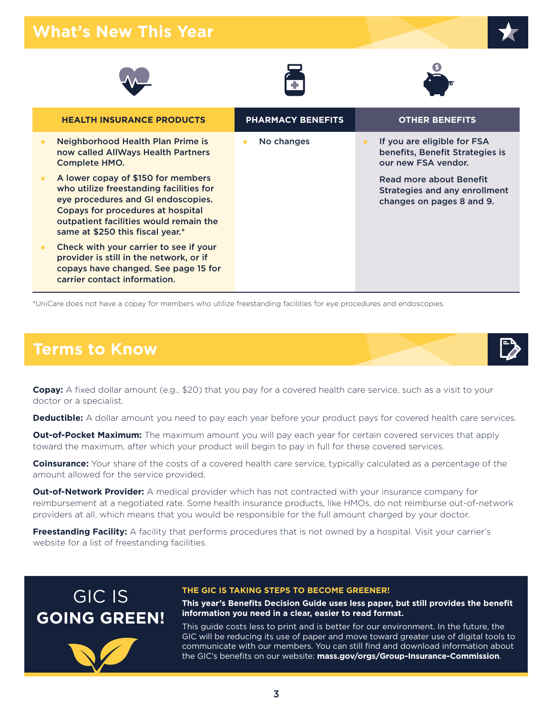# **What's New This Year**







| <b>HEALTH INSURANCE PRODUCTS</b>                                                                                                                                                                                                       | <b>PHARMACY BENEFITS</b> | <b>OTHER BENEFITS</b>                                                                        |
|----------------------------------------------------------------------------------------------------------------------------------------------------------------------------------------------------------------------------------------|--------------------------|----------------------------------------------------------------------------------------------|
| Neighborhood Health Plan Prime is<br>now called AllWays Health Partners<br><b>Complete HMO.</b>                                                                                                                                        | No changes               | If you are eligible for FSA<br>benefits, Benefit Strategies is<br>our new FSA vendor.        |
| A lower copay of \$150 for members<br>who utilize freestanding facilities for<br>eye procedures and GI endoscopies.<br>Copays for procedures at hospital<br>outpatient facilities would remain the<br>same at \$250 this fiscal year.* |                          | Read more about Benefit<br><b>Strategies and any enrollment</b><br>changes on pages 8 and 9. |
| Check with your carrier to see if your<br>provider is still in the network, or if<br>copays have changed. See page 15 for<br>carrier contact information.                                                                              |                          |                                                                                              |

\*UniCare does not have a copay for members who utilize freestanding facilities for eye procedures and endoscopies.

# **Terms to Know**

**Copay:** A fixed dollar amount (e.g., \$20) that you pay for a covered health care service, such as a visit to your doctor or a specialist.

**Deductible:** A dollar amount you need to pay each year before your product pays for covered health care services.

**Out-of-Pocket Maximum:** The maximum amount you will pay each year for certain covered services that apply toward the maximum, after which your product will begin to pay in full for these covered services.

**Coinsurance:** Your share of the costs of a covered health care service, typically calculated as a percentage of the amount allowed for the service provided.

**Out-of-Network Provider:** A medical provider which has not contracted with your insurance company for reimbursement at a negotiated rate. Some health insurance products, like HMOs, do not reimburse out-of-network providers at all, which means that you would be responsible for the full amount charged by your doctor.

**Freestanding Facility:** A facility that performs procedures that is not owned by a hospital. Visit your carrier's website for a list of freestanding facilities.





#### **THE GIC IS TAKING STEPS TO BECOME GREENER!**

**This year's Benefits Decision Guide uses less paper, but still provides the benefit information you need in a clear, easier to read format.** 

This guide costs less to print and is better for our environment. In the future, the GIC will be reducing its use of paper and move toward greater use of digital tools to communicate with our members. You can still find and download information about the GIC's benefits on our website: **[mass.gov/orgs/Group-Insurance-Commission](http://mass.gov/orgs/Group-Insurance-Commission)**.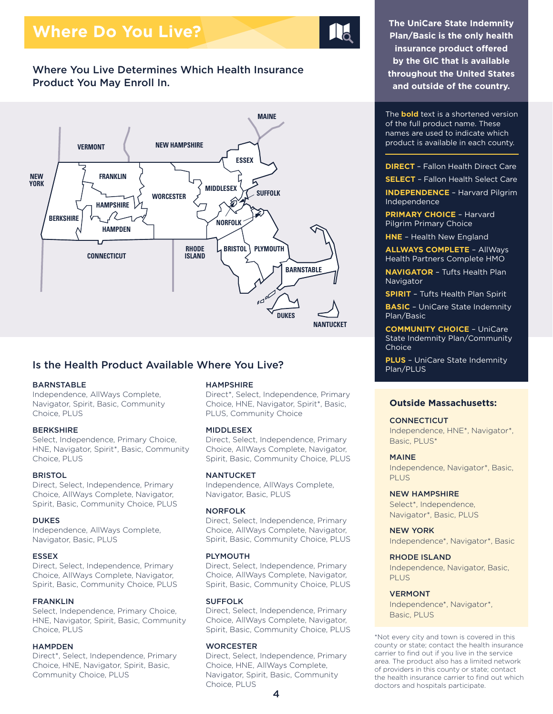# **Where Do You Live?**

## Where You Live Determines Which Health Insurance Product You May Enroll In.



## Is the Health Product Available Where You Live?

#### BARNSTABLE

Independence, AllWays Complete, Navigator, Spirit, Basic, Community Choice, PLUS

#### BERKSHIRE

<span id="page-3-1"></span>Select, Independence, Primary Choice, HNE, Navigator, Spiri[t\\*,](#page-3-0) Basic, Community Choice, PLUS

#### **BRISTOL**

Direct, Select, Independence, Primary Choice, AllWays Complete, Navigator, Spirit, Basic, Community Choice, PLUS

#### **DUKES**

Independence, AllWays Complete, Navigator, Basic, PLUS

#### ESSEX

Direct, Select, Independence, Primary Choice, AllWays Complete, Navigator, Spirit, Basic, Community Choice, PLUS

#### FRANKLIN

Select, Independence, Primary Choice, HNE, Navigator, Spirit, Basic, Community Choice, PLUS

#### **HAMPDEN**

Direc[t\\*,](#page-3-0) Select, Independence, Primary Choice, HNE, Navigator, Spirit, Basic, Community Choice, PLUS

#### HAMPSHIRE

Direc[t\\*,](#page-3-0) Select, Independence, Primary Choice, HNE, Navigator, Spiri[t\\*,](#page-3-0) Basic, PLUS, Community Choice

#### MIDDLESEX

Direct, Select, Independence, Primary Choice, AllWays Complete, Navigator, Spirit, Basic, Community Choice, PLUS

#### **NANTUCKET**

Independence, AllWays Complete, Navigator, Basic, PLUS

#### NORFOLK

Direct, Select, Independence, Primary Choice, AllWays Complete, Navigator, Spirit, Basic, Community Choice, PLUS

#### PLYMOUTH

Direct, Select, Independence, Primary Choice, AllWays Complete, Navigator, Spirit, Basic, Community Choice, PLUS

#### SUFFOLK

Direct, Select, Independence, Primary Choice, AllWays Complete, Navigator, Spirit, Basic, Community Choice, PLUS

#### **WORCESTER**

Direct, Select, Independence, Primary Choice, HNE, AllWays Complete, Navigator, Spirit, Basic, Community Choice, PLUS

**The UniCare State Indemnity Plan/Basic is the only health insurance product offered by the GIC that is available throughout the United States and outside of the country.**

The **bold** text is a shortened version of the full product name. These names are used to indicate which product is available in each county.

**DIRECT** – Fallon Health Direct Care

**SELECT** – Fallon Health Select Care

**INDEPENDENCE** – Harvard Pilgrim Independence

**PRIMARY CHOICE** – Harvard Pilgrim Primary Choice

**HNE** – Health New England

**ALLWAYS COMPLETE** – AllWays Health Partners Complete HMO

**NAVIGATOR** – Tufts Health Plan Navigator

**SPIRIT** – Tufts Health Plan Spirit

**BASIC** – UniCare State Indemnity Plan/Basic

**COMMUNITY CHOICE** – UniCare State Indemnity Plan/Community **Choice** 

**PLUS** – UniCare State Indemnity

#### **Outside Massachusetts:**

**CONNECTICUT** Independence, HNE[\\*,](#page-3-0) Navigato[r\\*,](#page-3-0) Basic, PLUS[\\*](#page-3-0)

#### MAINE

Independence, Navigator\*, Basic, PLUS

#### NEW HAMPSHIRE

Selec[t\\*,](#page-3-0) Independence, Navigator[\\*](#page-3-0), Basic, PLUS

NEW YORK Independence[\\*](#page-3-0), Navigator[\\*,](#page-3-0) Basic

#### RHODE ISLAND

Independence, Navigator, Basic, PLUS

#### VERMONT

Independence[\\*](#page-3-0), Navigator[\\*,](#page-3-0) Basic, PLUS

<span id="page-3-0"></span>[\\*](#page-3-1)Not every city and town is covered in this county or state; contact the health insurance carrier to find out if you live in the service area. The product also has a limited network of providers in this county or state; contact the health insurance carrier to find out which doctors and hospitals participate.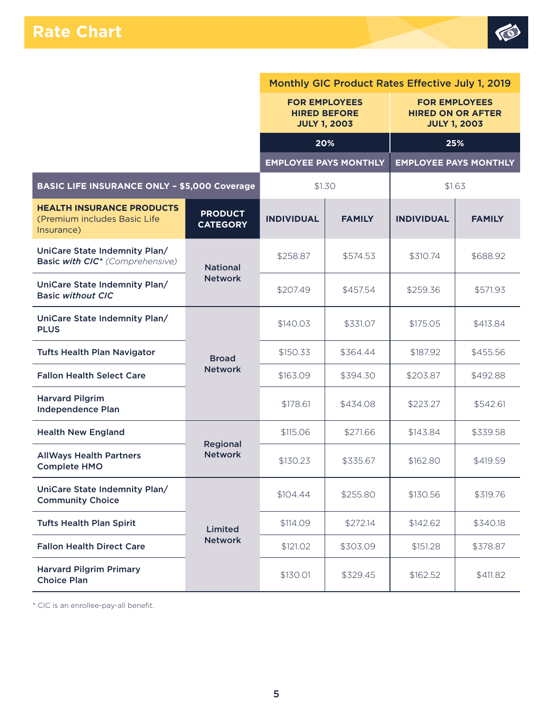

<span id="page-4-1"></span>

|                                                                                |                                   | Monthly GIC Product Rates Effective July 1, 2019 |                              |                                                                         |                              |  |  |
|--------------------------------------------------------------------------------|-----------------------------------|--------------------------------------------------|------------------------------|-------------------------------------------------------------------------|------------------------------|--|--|
|                                                                                |                                   | <b>FOR EMPLOYEES</b><br><b>JULY 1, 2003</b>      | <b>HIRED BEFORE</b>          | <b>FOR EMPLOYEES</b><br><b>HIRED ON OR AFTER</b><br><b>JULY 1, 2003</b> |                              |  |  |
|                                                                                |                                   |                                                  | 20%                          | 25%                                                                     |                              |  |  |
|                                                                                |                                   |                                                  | <b>EMPLOYEE PAYS MONTHLY</b> |                                                                         | <b>EMPLOYEE PAYS MONTHLY</b> |  |  |
| <b>BASIC LIFE INSURANCE ONLY - \$5,000 Coverage</b>                            |                                   | \$1.30                                           |                              | \$1.63                                                                  |                              |  |  |
| <b>HEALTH INSURANCE PRODUCTS</b><br>(Premium includes Basic Life<br>Insurance) | <b>PRODUCT</b><br><b>CATEGORY</b> | <b>INDIVIDUAL</b>                                | <b>FAMILY</b>                | <b>INDIVIDUAL</b>                                                       | <b>FAMILY</b>                |  |  |
| UniCare State Indemnity Plan/<br>Basic with CIC <sup>*</sup> (Comprehensive)   | <b>National</b>                   | \$258.87                                         | \$574.53                     | \$310.74                                                                | \$688.92                     |  |  |
| UniCare State Indemnity Plan/<br><b>Basic without CIC</b>                      | <b>Network</b>                    | \$207.49                                         | \$457.54                     | \$259.36                                                                | \$571.93                     |  |  |
| UniCare State Indemnity Plan/<br><b>PLUS</b>                                   |                                   | \$140.03                                         | \$331.07                     | \$175.05                                                                | \$413.84                     |  |  |
| <b>Tufts Health Plan Navigator</b>                                             | <b>Broad</b>                      | \$150.33                                         | \$364.44                     | \$187.92                                                                | \$455.56                     |  |  |
| <b>Fallon Health Select Care</b>                                               | <b>Network</b>                    | \$163.09                                         | \$394.30                     | \$203.87                                                                | \$492.88                     |  |  |
| <b>Harvard Pilgrim</b><br><b>Independence Plan</b>                             |                                   | \$178.61                                         | \$434.08                     | \$223.27                                                                | \$542.61                     |  |  |
| <b>Health New England</b>                                                      |                                   | \$115.06                                         | \$271.66                     | \$143.84                                                                | \$339.58                     |  |  |
| <b>AllWays Health Partners</b><br><b>Complete HMO</b>                          | Regional<br><b>Network</b>        | \$130.23                                         | \$335.67                     | \$162.80                                                                | \$419.59                     |  |  |
| UniCare State Indemnity Plan/<br><b>Community Choice</b>                       |                                   | \$104.44                                         | \$255.80                     | \$130.56                                                                | \$319.76                     |  |  |
| <b>Tufts Health Plan Spirit</b>                                                | Limited                           | \$114.09                                         | \$272.14                     | \$142.62                                                                | \$340.18                     |  |  |
| <b>Fallon Health Direct Care</b>                                               | <b>Network</b>                    | \$121.02                                         | \$303.09                     | \$151.28                                                                | \$378.87                     |  |  |
| <b>Harvard Pilgrim Primary</b><br><b>Choice Plan</b>                           |                                   | \$130.01                                         | \$329.45                     | \$162.52                                                                | \$411.82                     |  |  |

<span id="page-4-0"></span>[\\*](#page-4-1) CIC is an enrollee-pay-all benefit.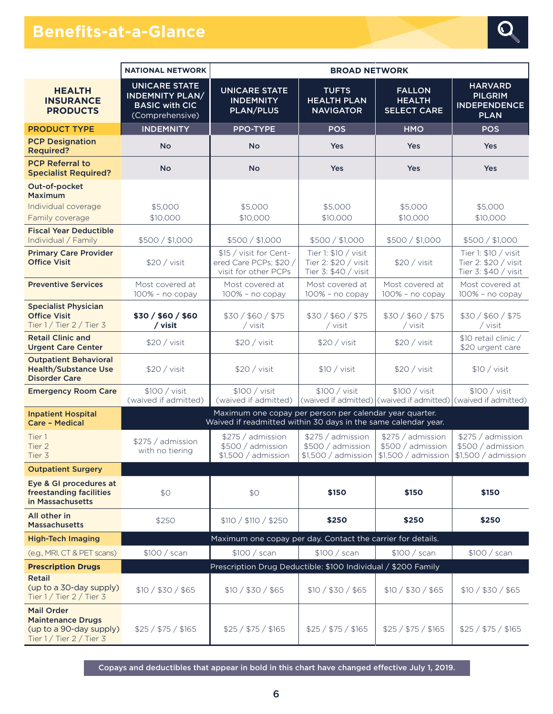# **Benefits-at-a-Glance**



|                                                                                                        | <b>NATIONAL NETWORK</b>                                                                    | <b>BROAD NETWORK</b>                                                                                                      |                                                                      |                                                                                 |                                                                        |
|--------------------------------------------------------------------------------------------------------|--------------------------------------------------------------------------------------------|---------------------------------------------------------------------------------------------------------------------------|----------------------------------------------------------------------|---------------------------------------------------------------------------------|------------------------------------------------------------------------|
| <b>HEALTH</b><br><b>INSURANCE</b><br><b>PRODUCTS</b>                                                   | <b>UNICARE STATE</b><br><b>INDEMNITY PLAN/</b><br><b>BASIC with CIC</b><br>(Comprehensive) | <b>UNICARE STATE</b><br><b>INDEMNITY</b><br><b>PLAN/PLUS</b>                                                              | <b>TUFTS</b><br><b>HEALTH PLAN</b><br><b>NAVIGATOR</b>               | <b>FALLON</b><br><b>HEALTH</b><br><b>SELECT CARE</b>                            | <b>HARVARD</b><br><b>PILGRIM</b><br><b>INDEPENDENCE</b><br><b>PLAN</b> |
| <b>PRODUCT TYPE</b>                                                                                    | <b>INDEMNITY</b>                                                                           | <b>PPO-TYPE</b>                                                                                                           | <b>POS</b>                                                           | <b>HMO</b>                                                                      | <b>POS</b>                                                             |
| <b>PCP Designation</b><br><b>Required?</b>                                                             | <b>No</b>                                                                                  | <b>No</b>                                                                                                                 | Yes                                                                  | Yes                                                                             | <b>Yes</b>                                                             |
| <b>PCP Referral to</b><br><b>Specialist Required?</b>                                                  | <b>No</b>                                                                                  | <b>No</b>                                                                                                                 | <b>Yes</b>                                                           | Yes                                                                             | <b>Yes</b>                                                             |
| Out-of-pocket<br><b>Maximum</b><br>Individual coverage<br>Family coverage                              | \$5,000<br>\$10,000                                                                        | \$5,000<br>\$10,000                                                                                                       | \$5,000<br>\$10,000                                                  | \$5,000<br>\$10,000                                                             | \$5,000<br>\$10,000                                                    |
| <b>Fiscal Year Deductible</b><br>Individual / Family                                                   | \$500 / \$1,000                                                                            | \$500 / \$1,000                                                                                                           | \$500 / \$1,000                                                      | \$500 / \$1,000                                                                 | \$500 / \$1,000                                                        |
| <b>Primary Care Provider</b><br><b>Office Visit</b>                                                    | \$20 / visit                                                                               | \$15 / visit for Cent-<br>ered Care PCPs; \$20 /<br>visit for other PCPs                                                  | Tier 1: \$10 / visit<br>Tier 2: \$20 / visit<br>Tier 3: \$40 / visit | \$20 / visit                                                                    | Tier 1: \$10 / visit<br>Tier 2: \$20 / visit<br>Tier 3: \$40 / visit   |
| <b>Preventive Services</b>                                                                             | Most covered at<br>$100\%$ - no copay                                                      | Most covered at<br>100% - no copay                                                                                        | Most covered at<br>100% - no copay                                   | Most covered at<br>100% - no copay                                              | Most covered at<br>100% - no copay                                     |
| <b>Specialist Physician</b><br><b>Office Visit</b><br>Tier $1/$ Tier $2/$ Tier 3                       | \$30 / \$60 / \$60<br>/ visit                                                              | \$30 / \$60 / \$75<br>/ visit                                                                                             | \$30 / \$60 / \$75<br>/ visit                                        | \$30 / \$60 / \$75<br>/ visit                                                   | \$30 / \$60 / \$75<br>/ visit                                          |
| <b>Retail Clinic and</b><br><b>Urgent Care Center</b>                                                  | \$20 / vist                                                                                | \$20 / vist                                                                                                               | \$20 / vist                                                          | \$20 / vist                                                                     | \$10 retail clinic /<br>\$20 urgent care                               |
| <b>Outpatient Behavioral</b><br><b>Health/Substance Use</b><br><b>Disorder Care</b>                    | \$20 / visit                                                                               | \$20 / vist                                                                                                               | \$10 / vist                                                          | \$20 / visit                                                                    | \$10 / vist                                                            |
| <b>Emergency Room Care</b>                                                                             | \$100 / vist<br>(waived if admitted)                                                       | \$100 / visit<br>(waived if admitted)                                                                                     | \$100 / visit                                                        | \$100 / visit<br>(waived if admitted) (waived if admitted) (waived if admitted) | \$100 / visit                                                          |
| <b>Inpatient Hospital</b><br><b>Care - Medical</b>                                                     |                                                                                            | Maximum one copay per person per calendar year quarter.<br>Waived if readmitted within 30 days in the same calendar year. |                                                                      |                                                                                 |                                                                        |
| Tier 1<br>Tier 2<br>Tier 3                                                                             | \$275 / admission<br>with no tiering                                                       | \$275 / admission<br>\$500 / admission<br>\$1,500 / admission                                                             | \$275 / admission<br>\$500 / admission<br>$$1,500 /$ admission       | \$275 / admission<br>\$500 / admission<br>\$1,500 / admission                   | \$275 / admission<br>\$500 / admission<br>\$1,500 / admission          |
| <b>Outpatient Surgery</b>                                                                              |                                                                                            |                                                                                                                           |                                                                      |                                                                                 |                                                                        |
| Eye & GI procedures at<br>freestanding facilities<br>in Massachusetts                                  | \$0                                                                                        | \$0                                                                                                                       | \$150                                                                | \$150                                                                           | \$150                                                                  |
| All other in<br><b>Massachusetts</b>                                                                   | \$250                                                                                      | \$110 / \$110 / \$250                                                                                                     | \$250                                                                | \$250                                                                           | \$250                                                                  |
| <b>High-Tech Imaging</b>                                                                               |                                                                                            | Maximum one copay per day. Contact the carrier for details.                                                               |                                                                      |                                                                                 |                                                                        |
| (e.g., MRI, CT & PET scans)                                                                            | \$100 / scan                                                                               | \$100 / scan                                                                                                              | \$100 / scan                                                         | \$100 / scan                                                                    | \$100 / scan                                                           |
| <b>Prescription Drugs</b>                                                                              |                                                                                            | Prescription Drug Deductible: \$100 Individual / \$200 Family                                                             |                                                                      |                                                                                 |                                                                        |
| <b>Retail</b><br>(up to a 30-day supply)<br>Tier $1/$ Tier $2/$ Tier 3                                 | \$10 / \$30 / \$65                                                                         | \$10 / \$30 / \$65                                                                                                        | \$10 / \$30 / \$65                                                   | \$10 / \$30 / \$65                                                              | \$10 / \$30 / \$65                                                     |
| <b>Mail Order</b><br><b>Maintenance Drugs</b><br>(up to a 90-day supply)<br>Tier $1/$ Tier $2/$ Tier 3 | \$25 / \$75 / \$165                                                                        | \$25 / \$75 / \$165                                                                                                       | \$25 / \$75 / \$165                                                  | \$25 / \$75 / \$165                                                             | \$25 / \$75 / \$165                                                    |

Copays and deductibles that appear in bold in this chart have changed effective July 1, 2019.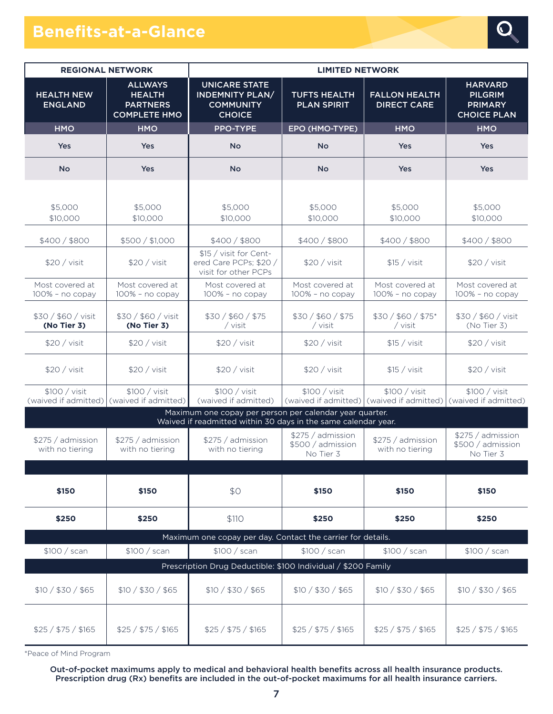# **Benefits-at-a-Glance**



| <b>REGIONAL NETWORK</b>               |                                                                           | <b>LIMITED NETWORK</b>                                                                                                    |                                                     |                                                            |                                                                          |  |
|---------------------------------------|---------------------------------------------------------------------------|---------------------------------------------------------------------------------------------------------------------------|-----------------------------------------------------|------------------------------------------------------------|--------------------------------------------------------------------------|--|
| <b>HEALTH NEW</b><br><b>ENGLAND</b>   | <b>ALLWAYS</b><br><b>HEALTH</b><br><b>PARTNERS</b><br><b>COMPLETE HMO</b> | <b>UNICARE STATE</b><br><b>INDEMNITY PLAN/</b><br><b>COMMUNITY</b><br><b>CHOICE</b>                                       | <b>TUFTS HEALTH</b><br><b>PLAN SPIRIT</b>           | <b>FALLON HEALTH</b><br><b>DIRECT CARE</b>                 | <b>HARVARD</b><br><b>PILGRIM</b><br><b>PRIMARY</b><br><b>CHOICE PLAN</b> |  |
| <b>HMO</b>                            | <b>HMO</b>                                                                | <b>PPO-TYPE</b>                                                                                                           | EPO (HMO-TYPE)                                      | <b>HMO</b>                                                 | <b>HMO</b>                                                               |  |
| Yes                                   | <b>Yes</b>                                                                | <b>No</b>                                                                                                                 | <b>No</b>                                           | Yes                                                        | <b>Yes</b>                                                               |  |
| <b>No</b>                             | <b>Yes</b>                                                                | <b>No</b>                                                                                                                 | <b>No</b>                                           | Yes                                                        | <b>Yes</b>                                                               |  |
|                                       |                                                                           |                                                                                                                           |                                                     |                                                            |                                                                          |  |
| \$5,000<br>\$10,000                   | \$5,000<br>\$10,000                                                       | \$5,000<br>\$10,000                                                                                                       | \$5,000<br>\$10,000                                 | \$5,000<br>\$10,000                                        | \$5,000<br>\$10,000                                                      |  |
| \$400 / \$800                         | \$500 / \$1,000                                                           | \$400/\$800                                                                                                               | \$400/\$800                                         | \$400/\$800                                                | \$400/\$800                                                              |  |
| \$20 / vist                           | \$20 / visit                                                              | \$15 / visit for Cent-<br>ered Care PCPs; \$20 /<br>visit for other PCPs                                                  | \$20 / visit                                        | \$15 / visit                                               | \$20 / visit                                                             |  |
| Most covered at<br>$100\%$ - no copay | Most covered at<br>$100\%$ - no copay                                     | Most covered at<br>$100\%$ - no copay                                                                                     | Most covered at<br>$100\%$ - no copay               | Most covered at<br>$100\%$ - no copay                      | Most covered at<br>$100\%$ - no copay                                    |  |
| \$30 / \$60 / visit<br>(No Tier 3)    | \$30 / \$60 / visit<br>(No Tier 3)                                        | \$30 / \$60 / \$75<br>/ visit                                                                                             | \$30 / \$60 / \$75<br>/ visit                       | \$30 / \$60 / \$75*<br>/ visit                             | \$30 / \$60 / visit<br>(No Tier 3)                                       |  |
| \$20 / visit                          | \$20 / visit                                                              | \$20 / vist                                                                                                               | \$20 / vist                                         | \$15 / vist                                                | \$20 / vist                                                              |  |
| \$20 / visit                          | \$20 / visit                                                              | \$20 / visit                                                                                                              | \$20 / vist                                         | \$15 / visit                                               | \$20 / visit                                                             |  |
| \$100 / visit<br>(waived if admitted) | \$100 / visit<br>(waived if admitted)                                     | \$100 / visit<br>(waived if admitted)                                                                                     | \$100 / visit                                       | \$100 / visit<br>(waived if admitted) (waived if admitted) | \$100 / visit<br>(waived if admitted)                                    |  |
|                                       |                                                                           | Maximum one copay per person per calendar year quarter.<br>Waived if readmitted within 30 days in the same calendar year. |                                                     |                                                            |                                                                          |  |
| \$275 / admission<br>with no tiering  | \$275 / admission<br>with no tiering                                      | \$275 / admission<br>with no tiering                                                                                      | \$275 / admission<br>\$500 / admission<br>No Tier 3 | \$275 / admission<br>with no tiering                       | \$275 / admission<br>\$500 / admission<br>No Tier 3                      |  |
|                                       |                                                                           |                                                                                                                           |                                                     |                                                            |                                                                          |  |
| <b>\$150</b>                          | \$150                                                                     | \$0                                                                                                                       | \$150                                               | \$150                                                      | \$150                                                                    |  |
| \$250                                 | \$250                                                                     | \$110                                                                                                                     | \$250                                               | \$250                                                      | \$250                                                                    |  |
|                                       |                                                                           | Maximum one copay per day. Contact the carrier for details.                                                               |                                                     |                                                            |                                                                          |  |
| \$100 / scan                          | \$100 / scan                                                              | \$100 / scan<br>Prescription Drug Deductible: \$100 Individual / \$200 Family                                             | \$100 / scan                                        | \$100 / scan                                               | \$100 / scan                                                             |  |
| \$10 / \$30 / \$65                    | \$10 / \$30 / \$65                                                        | \$10 / \$30 / \$65                                                                                                        | \$10 / \$30 / \$65                                  | \$10 / \$30 / \$65                                         | \$10 / \$30 / \$65                                                       |  |
| \$25 / \$75 / \$165                   | \$25 / \$75 / \$165                                                       | \$25 / \$75 / \$165                                                                                                       | \$25 / \$75 / \$165                                 | \$25 / \$75 / \$165                                        | \$25 / \$75 / \$165                                                      |  |

\*Peace of Mind Program

Out-of-pocket maximums apply to medical and behavioral health benefits across all health insurance products. Prescription drug (Rx) benefits are included in the out-of-pocket maximums for all health insurance carriers.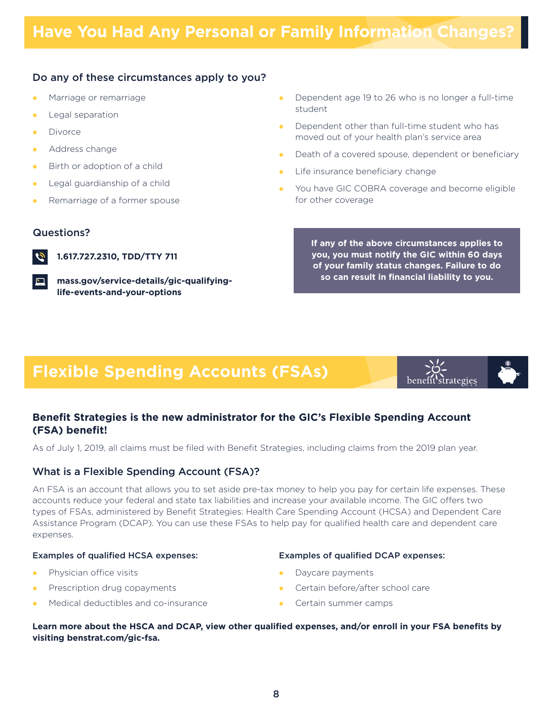## Do any of these circumstances apply to you?

- Marriage or remarriage  $\bullet$
- Legal separation  $\bullet$
- Divorce  $\bullet$
- Address change  $\bullet$
- Birth or adoption of a child  $\bullet$
- Legal guardianship of a child  $\bullet$
- Remarriage of a former spouse  $\bullet$

### Questions?



**1.617.727.2310, TDD/TTY 711**

**[mass.gov/service-details/gic-qualifying](http://mass.gov/service-details/gic-qualifying-life-events-and-your-options)life-events-and-your-options**

- Dependent age 19 to 26 who is no longer a full-time student  $\bullet$
- Dependent other than full-time student who has moved out of your health plan's service area  $\bullet$
- Death of a covered spouse, dependent or beneficiary  $\bullet$
- Life insurance beneficiary change  $\bullet$
- You have GIC COBRA coverage and become eligible for other coverage  $\bullet$

**If any of the above circumstances applies to you, you must notify the GIC within 60 days of your family status changes. Failure to do so can result in financial liability to you.**

benefit strategies

# **Flexible Spending Accounts (FSAs)**

## **Benefit Strategies is the new administrator for the GIC's Flexible Spending Account (FSA) benefit!**

As of July 1, 2019, all claims must be filed with Benefit Strategies, including claims from the 2019 plan year.

## What is a Flexible Spending Account (FSA)?

An FSA is an account that allows you to set aside pre-tax money to help you pay for certain life expenses. These accounts reduce your federal and state tax liabilities and increase your available income. The GIC offers two types of FSAs, administered by Benefit Strategies: Health Care Spending Account (HCSA) and Dependent Care Assistance Program (DCAP). You can use these FSAs to help pay for qualified health care and dependent care expenses.

#### Examples of qualified HCSA expenses:

- Physician office visits  $\bullet$
- Prescription drug copayments  $\bullet$
- Medical deductibles and co-insurance  $\bullet$

#### Examples of qualified DCAP expenses:

- Daycare payments  $\bullet$
- Certain before/after school care  $\bullet$
- Certain summer camps  $\bullet$

**Learn more about the HSCA and DCAP, view other qualified expenses, and/or enroll in your FSA benefits by visiting benstrat.com/gic-fsa.**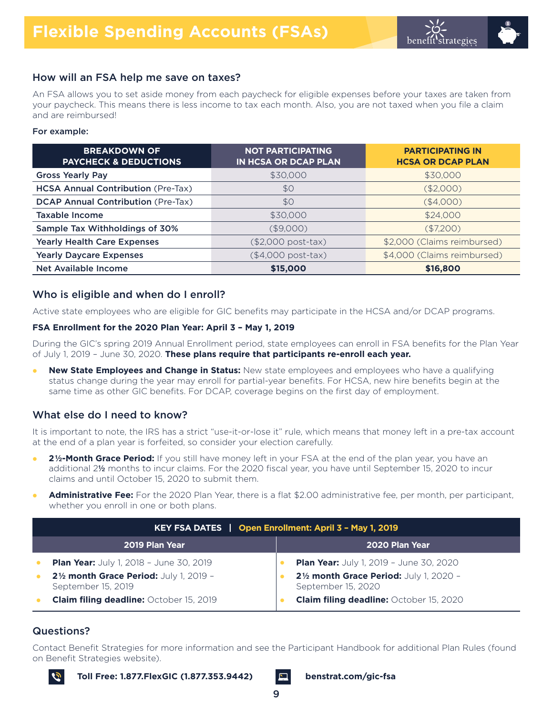## How will an FSA help me save on taxes?

An FSA allows you to set aside money from each paycheck for eligible expenses before your taxes are taken from your paycheck. This means there is less income to tax each month. Also, you are not taxed when you file a claim and are reimbursed!

#### For example:

| <b>BREAKDOWN OF</b><br><b>PAYCHECK &amp; DEDUCTIONS</b> | <b>NOT PARTICIPATING</b><br>IN HCSA OR DCAP PLAN | <b>PARTICIPATING IN</b><br><b>HCSA OR DCAP PLAN</b> |
|---------------------------------------------------------|--------------------------------------------------|-----------------------------------------------------|
| <b>Gross Yearly Pay</b>                                 | \$30,000                                         | \$30,000                                            |
| <b>HCSA Annual Contribution (Pre-Tax)</b>               | \$0                                              | (\$2,000)                                           |
| <b>DCAP Annual Contribution (Pre-Tax)</b>               | \$0                                              | (\$4,000)                                           |
| Taxable Income                                          | \$30,000                                         | \$24,000                                            |
| Sample Tax Withholdings of 30%                          | $($ \$9,000)                                     | (\$7,200)                                           |
| <b>Yearly Health Care Expenses</b>                      | (\$2,000 post-tax)                               | \$2,000 (Claims reimbursed)                         |
| <b>Yearly Daycare Expenses</b>                          | (\$4,000 post-tax)                               | \$4,000 (Claims reimbursed)                         |
| Net Available Income                                    | \$15,000                                         | \$16,800                                            |

## Who is eligible and when do I enroll?

Active state employees who are eligible for GIC benefits may participate in the HCSA and/or DCAP programs.

#### **FSA Enrollment for the 2020 Plan Year: April 3 – May 1, 2019**

During the GIC's spring 2019 Annual Enrollment period, state employees can enroll in FSA benefits for the Plan Year of July 1, 2019 – June 30, 2020. **These plans require that participants re-enroll each year.**

**New State Employees and Change in Status:** New state employees and employees who have a qualifying status change during the year may enroll for partial-year benefits. For HCSA, new hire benefits begin at the same time as other GIC benefits. For DCAP, coverage begins on the first day of employment.  $\bullet$ 

## What else do I need to know?

It is important to note, the IRS has a strict "use-it-or-lose it" rule, which means that money left in a pre-tax account at the end of a plan year is forfeited, so consider your election carefully.

- **2½-Month Grace Period:** If you still have money left in your FSA at the end of the plan year, you have an additional 2½ months to incur claims. For the 2020 fiscal year, you have until September 15, 2020 to incur claims and until October 15, 2020 to submit them.  $\bullet$
- **Administrative Fee:** For the 2020 Plan Year, there is a flat \$2.00 administrative fee, per month, per participant, whether you enroll in one or both plans.  $\bullet$

| KEY FSA DATES   Open Enrollment: April 3 - May 1, 2019        |  |                                                               |  |
|---------------------------------------------------------------|--|---------------------------------------------------------------|--|
| 2019 Plan Year                                                |  | 2020 Plan Year                                                |  |
| <b>Plan Year:</b> July 1, 2018 - June 30, 2019                |  | <b>Plan Year:</b> July 1, 2019 - June 30, 2020                |  |
| 21/2 month Grace Period: July 1, 2019 -<br>September 15, 2019 |  | 21/2 month Grace Period: July 1, 2020 -<br>September 15, 2020 |  |
| <b>Claim filing deadline: October 15, 2019</b>                |  | <b>Claim filing deadline: October 15, 2020</b>                |  |

## Questions?

Contact Benefit Strategies for more information and see the Participant Handbook for additional Plan Rules (found on Benefit Strategies website).



**Toll Free: 1.877.FlexGIC (1.877.353.9442) [benstrat.com/gic-fsa](http://benstrat.com/gic-fsa)**

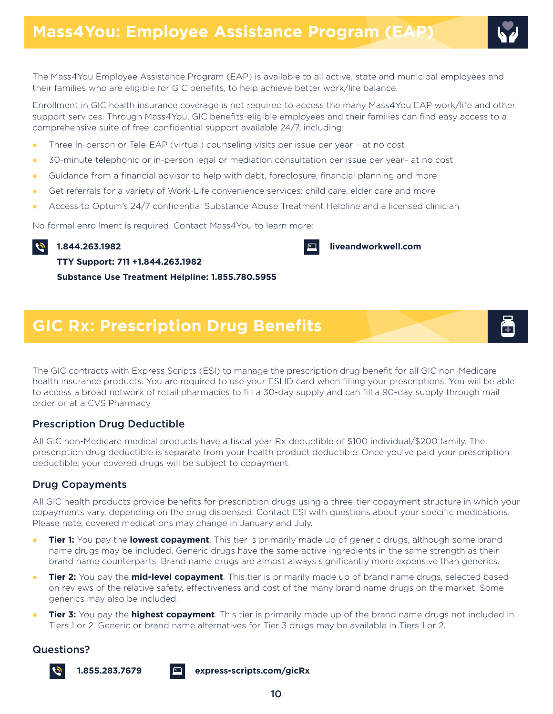The Mass4You Employee Assistance Program (EAP) is available to all active, state and municipal employees and their families who are eligible for GIC benefits, to help achieve better work/life balance.

Enrollment in GIC health insurance coverage is not required to access the many Mass4You EAP work/life and other support services. Through Mass4You, GIC benefits-eligible employees and their families can find easy access to a comprehensive suite of free, confidential support available 24/7, including:

- Three in-person or Tele-EAP (virtual) counseling visits per issue per year at no cost  $\bullet$
- 30-minute telephonic or in-person legal or mediation consultation per issue per year– at no cost  $\bullet$
- Guidance from a financial advisor to help with debt, foreclosure, financial planning and more  $\bullet$
- Get referrals for a variety of Work-Life convenience services: child care, elder care and more  $\bullet$
- Access to Optum's 24/7 confidential Substance Abuse Treatment Helpline and a licensed clinician  $\bullet$

No formal enrollment is required. Contact Mass4You to learn more:

 $\tilde{\mathcal{G}}$ **1.844.263.1982** 



**TTY Support: 711 +1.844.263.1982**

**Substance Use Treatment Helpline: 1.855.780.5955**

# **GIC Rx: Prescription Drug Benefits**

The GIC contracts with Express Scripts (ESI) to manage the prescription drug benefit for all GIC non-Medicare health insurance products. You are required to use your ESI ID card when filling your prescriptions. You will be able to access a broad network of retail pharmacies to fill a 30-day supply and can fill a 90-day supply through mail order or at a CVS Pharmacy.

## Prescription Drug Deductible

All GIC non-Medicare medical products have a fiscal year Rx deductible of \$100 individual/\$200 family. The prescription drug deductible is separate from your health product deductible. Once you've paid your prescription deductible, your covered drugs will be subject to copayment.

## Drug Copayments

All GIC health products provide benefits for prescription drugs using a three-tier copayment structure in which your copayments vary, depending on the drug dispensed. Contact ESI with questions about your specific medications. Please note, covered medications may change in January and July.

- **Tier 1:** You pay the **lowest copayment**. This tier is primarily made up of generic drugs, although some brand name drugs may be included. Generic drugs have the same active ingredients in the same strength as their brand name counterparts. Brand name drugs are almost always significantly more expensive than generics.  $\bullet$
- **Tier 2:** You pay the **mid-level copayment**. This tier is primarily made up of brand name drugs, selected based on reviews of the relative safety, effectiveness and cost of the many brand name drugs on the market. Some generics may also be included.  $\bullet$
- **Tier 3:** You pay the **highest copayment**. This tier is primarily made up of the brand name drugs not included in Tiers 1 or 2. Generic or brand name alternatives for Tier 3 drugs may be available in Tiers 1 or 2.  $\bullet$

#### Questions?



**1.855.283.7679 [express-scripts.com/gicRx](http://express-scripts.com/gicRx)**

10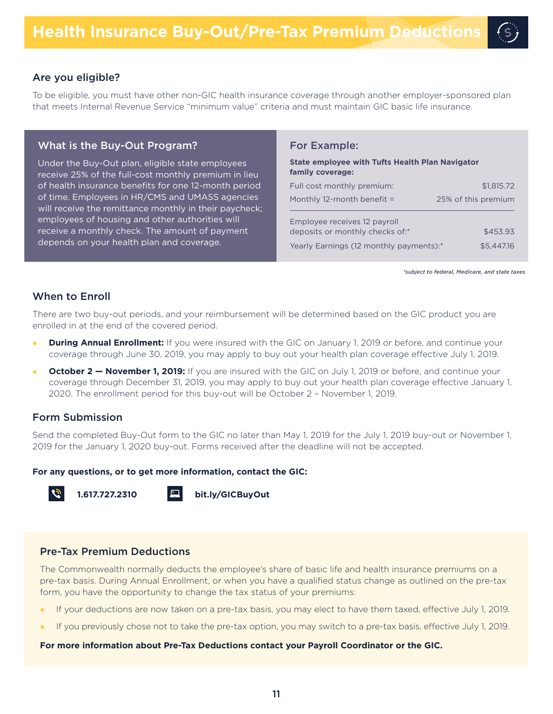#### Are you eligible?

To be eligible, you must have other non-GIC health insurance coverage through another employer-sponsored plan that meets Internal Revenue Service "minimum value" criteria and must maintain GIC basic life insurance.

#### What is the Buy-Out Program?

Under the Buy-Out plan, eligible state employees receive 25% of the full-cost monthly premium in lieu of health insurance benefits for one 12-month period of time. Employees in HR/CMS and UMASS agencies will receive the remittance monthly in their paycheck; employees of housing and other authorities will receive a monthly check. The amount of payment depends on your health plan and coverage.

#### For Example:

| <b>State employee with Tufts Health Plan Navigator</b><br>family coverage: |                     |  |  |  |
|----------------------------------------------------------------------------|---------------------|--|--|--|
| Full cost monthly premium:                                                 | \$1,815.72          |  |  |  |
| Monthly 12-month benefit $=$                                               | 25% of this premium |  |  |  |
| Employee receives 12 payroll<br>deposits or monthly checks of:*            | \$453.93            |  |  |  |
| Yearly Earnings (12 monthly payments):*                                    | \$5,447.16          |  |  |  |

<span id="page-10-1"></span><span id="page-10-0"></span>*[\\*](#page-10-1)subject to federal, Medicare, and state taxes*

#### When to Enroll

There are two buy-out periods, and your reimbursement will be determined based on the GIC product you are enrolled in at the end of the covered period.

- $\bullet$ **During Annual Enrollment:** If you were insured with the GIC on January 1, 2019 or before, and continue your coverage through June 30, 2019, you may apply to buy out your health plan coverage effective July 1, 2019.
- $\bullet$ **October 2 – November 1, 2019:** If you are insured with the GIC on July 1, 2019 or before, and continue your coverage through December 31, 2019, you may apply to buy out your health plan coverage effective January 1, 2020. The enrollment period for this buy-out will be October 2 – November 1, 2019.

#### Form Submission

Send the completed Buy-Out form to the GIC no later than May 1, 2019 for the July 1, 2019 buy-out or November 1, 2019 for the January 1, 2020 buy-out. Forms received after the deadline will not be accepted.

#### **For any questions, or to get more information, contact the GIC:**



**1.617.727.2310 [bit.ly/GICBuyOut](http://bit.ly/GICBuyOut)**

## Pre-Tax Premium Deductions

The Commonwealth normally deducts the employee's share of basic life and health insurance premiums on a pre-tax basis. During Annual Enrollment, or when you have a qualified status change as outlined on the pre-tax form, you have the opportunity to change the tax status of your premiums:

- If your deductions are now taken on a pre-tax basis, you may elect to have them taxed, effective July 1, 2019.  $\bullet$
- If you previously chose not to take the pre-tax option, you may switch to a pre-tax basis, effective July 1, 2019.  $\bullet$

#### **For more information about Pre-Tax Deductions contact your Payroll Coordinator or the GIC.**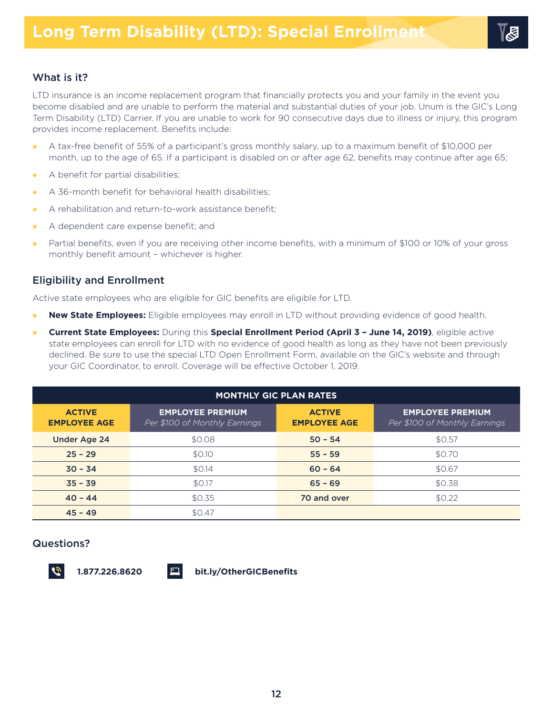## What is it?

LTD insurance is an income replacement program that financially protects you and your family in the event you become disabled and are unable to perform the material and substantial duties of your job. Unum is the GIC's Long Term Disability (LTD) Carrier. If you are unable to work for 90 consecutive days due to illness or injury, this program provides income replacement. Benefits include:

- $\bullet$ A tax-free benefit of 55% of a participant's gross monthly salary, up to a maximum benefit of \$10,000 per month, up to the age of 65. If a participant is disabled on or after age 62, benefits may continue after age 65;
- $\bullet$ A benefit for partial disabilities;
- $\bullet$ A 36-month benefit for behavioral health disabilities;
- $\bullet$ A rehabilitation and return-to-work assistance benefit;
- l A dependent care expense benefit; and
- $\bullet$ Partial benefits, even if you are receiving other income benefits, with a minimum of \$100 or 10% of your gross monthly benefit amount – whichever is higher.

## Eligibility and Enrollment

Active state employees who are eligible for GIC benefits are eligible for LTD.

- $\bullet$ **New State Employees:** Eligible employees may enroll in LTD without providing evidence of good health.
- $\bullet$ **Current State Employees:** During this **Special Enrollment Period (April 3 – June 14, 2019)**, eligible active state employees can enroll for LTD with no evidence of good health as long as they have not been previously declined. Be sure to use the special LTD Open Enrollment Form, available on the GIC's website and through your GIC Coordinator, to enroll. Coverage will be effective October 1, 2019.

| <b>MONTHLY GIC PLAN RATES</b>        |                                                          |                                      |                                                          |  |  |
|--------------------------------------|----------------------------------------------------------|--------------------------------------|----------------------------------------------------------|--|--|
| <b>ACTIVE</b><br><b>EMPLOYEE AGE</b> | <b>EMPLOYEE PREMIUM</b><br>Per \$100 of Monthly Earnings | <b>ACTIVE</b><br><b>EMPLOYEE AGE</b> | <b>EMPLOYEE PREMIUM</b><br>Per \$100 of Monthly Earnings |  |  |
| <b>Under Age 24</b>                  | \$0.08                                                   | $50 - 54$                            | \$0.57                                                   |  |  |
| $25 - 29$                            | \$0.10                                                   | $55 - 59$                            | \$0.70                                                   |  |  |
| $30 - 34$                            | \$0.14                                                   | $60 - 64$                            | \$0.67                                                   |  |  |
| $35 - 39$                            | \$0.17                                                   | $65 - 69$                            | \$0.38                                                   |  |  |
| $40 - 44$                            | \$0.35                                                   | 70 and over                          | \$0.22                                                   |  |  |
| $45 - 49$                            | \$0.47                                                   |                                      |                                                          |  |  |

## Questions?



**1.877.226.8620 [bit.ly/OtherGICBenefits](http://bit.ly/OtherGICBenefits)**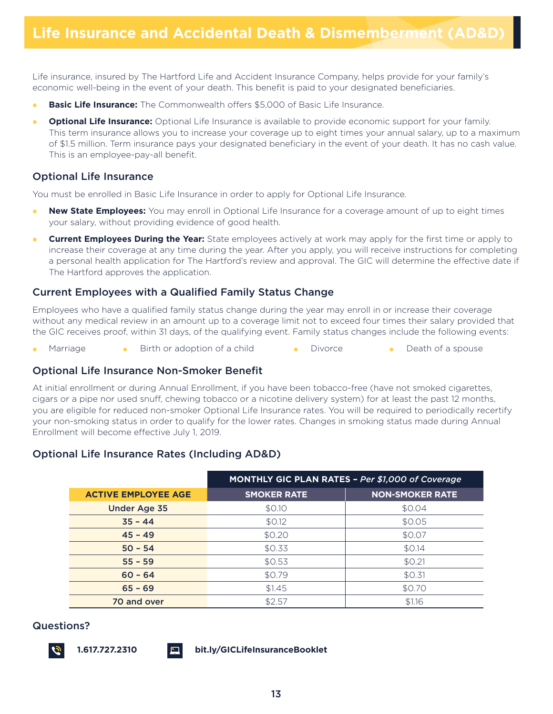Life insurance, insured by The Hartford Life and Accident Insurance Company, helps provide for your family's economic well-being in the event of your death. This benefit is paid to your designated beneficiaries.

- $\bullet$ **Basic Life Insurance:** The Commonwealth offers \$5,000 of Basic Life Insurance.
- $\bullet$ **Optional Life Insurance:** Optional Life Insurance is available to provide economic support for your family. This term insurance allows you to increase your coverage up to eight times your annual salary, up to a maximum of \$1.5 million. Term insurance pays your designated beneficiary in the event of your death. It has no cash value. This is an employee-pay-all benefit.

#### Optional Life Insurance

You must be enrolled in Basic Life Insurance in order to apply for Optional Life Insurance.

- $\bullet$ **New State Employees:** You may enroll in Optional Life Insurance for a coverage amount of up to eight times your salary, without providing evidence of good health.
- $\bullet$ **Current Employees During the Year:** State employees actively at work may apply for the first time or apply to increase their coverage at any time during the year. After you apply, you will receive instructions for completing a personal health application for The Hartford's review and approval. The GIC will determine the effective date if The Hartford approves the application.

## Current Employees with a Qualified Family Status Change

Employees who have a qualified family status change during the year may enroll in or increase their coverage without any medical review in an amount up to a coverage limit not to exceed four times their salary provided that the GIC receives proof, within 31 days, of the qualifying event. Family status changes include the following events:

• Marriage • Birth or adoption of a child • Divorce • Death of a spouse

#### Optional Life Insurance Non-Smoker Benefit

At initial enrollment or during Annual Enrollment, if you have been tobacco-free (have not smoked cigarettes, cigars or a pipe nor used snuff, chewing tobacco or a nicotine delivery system) for at least the past 12 months, you are eligible for reduced non-smoker Optional Life Insurance rates. You will be required to periodically recertify your non-smoking status in order to qualify for the lower rates. Changes in smoking status made during Annual Enrollment will become effective July 1, 2019.

## Optional Life Insurance Rates (Including AD&D)

|                            | <b>MONTHLY GIC PLAN RATES - Per \$1,000 of Coverage</b> |                        |  |
|----------------------------|---------------------------------------------------------|------------------------|--|
| <b>ACTIVE EMPLOYEE AGE</b> | <b>SMOKER RATE</b>                                      | <b>NON-SMOKER RATE</b> |  |
| <b>Under Age 35</b>        | \$0.10                                                  | \$0.04                 |  |
| $35 - 44$                  | \$0.12                                                  | \$0.05                 |  |
| $45 - 49$                  | \$0.20                                                  | \$0.07                 |  |
| $50 - 54$                  | \$0.33                                                  | \$0.14                 |  |
| $55 - 59$                  | \$0.53                                                  | \$0.21                 |  |
| $60 - 64$                  | \$0.79                                                  | \$0.31                 |  |
| $65 - 69$                  | \$1.45                                                  | \$0.70                 |  |
| 70 and over                | \$2.57                                                  | \$1.16                 |  |

#### Questions?

**1.617.727.2310 [bit.ly/GICLifeInsuranceBooklet](http://bit.ly/GICLifeInsuranceBooklet)**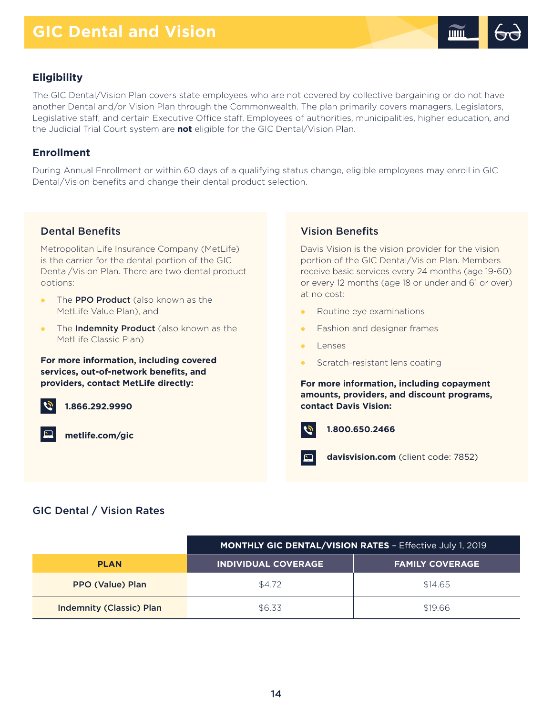

## **Eligibility**

The GIC Dental/Vision Plan covers state employees who are not covered by collective bargaining or do not have another Dental and/or Vision Plan through the Commonwealth. The plan primarily covers managers, Legislators, Legislative staff, and certain Executive Office staff. Employees of authorities, municipalities, higher education, and the Judicial Trial Court system are **not** eligible for the GIC Dental/Vision Plan.

## **Enrollment**

During Annual Enrollment or within 60 days of a qualifying status change, eligible employees may enroll in GIC Dental/Vision benefits and change their dental product selection.

## Dental Benefits

Metropolitan Life Insurance Company (MetLife) is the carrier for the dental portion of the GIC Dental/Vision Plan. There are two dental product options:

- The **PPO Product** (also known as the MetLife Value Plan), and  $\bullet$
- The **Indemnity Product** (also known as the MetLife Classic Plan)  $\bullet$

**For more information, including covered services, out-of-network benefits, and providers, contact MetLife directly:**



**1.866.292.9990**

**[metlife.com/gic](http://metlife.com/gic)**

## Vision Benefits

Davis Vision is the vision provider for the vision portion of the GIC Dental/Vision Plan. Members receive basic services every 24 months (age 19-60) or every 12 months (age 18 or under and 61 or over) at no cost:

- Routine eye examinations  $\bullet$
- Fashion and designer frames  $\bullet$
- Lenses  $\bullet$
- Scratch-resistant lens coating  $\bullet$

**For more information, including copayment amounts, providers, and discount programs, contact Davis Vision:**



**1.800.650.2466**

 $\Box$ **[davisvision.com](http://davisvision.com)** (client code: 7852)

## GIC Dental / Vision Rates

|                                 | <b>MONTHLY GIC DENTAL/VISION RATES - Effective July 1, 2019</b> |                        |  |
|---------------------------------|-----------------------------------------------------------------|------------------------|--|
| <b>PLAN</b>                     | <u>INDIVIDUAL COVERAGE</u>                                      | <b>FAMILY COVERAGE</b> |  |
| <b>PPO (Value) Plan</b>         | \$4.72                                                          | \$14.65                |  |
| <b>Indemnity (Classic) Plan</b> | \$6.33                                                          | \$19.66                |  |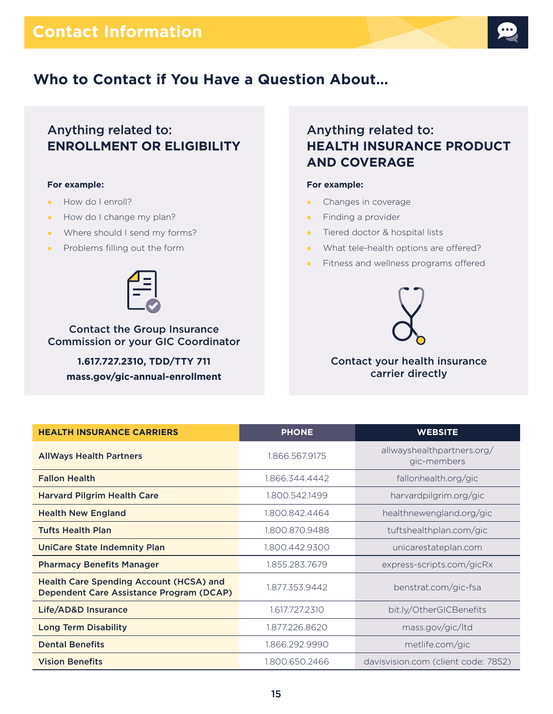

# **Who to Contact if You Have a Question About…**

## Anything related to: **ENROLLMENT OR ELIGIBILITY**

#### **For example:**

- How do I enroll?
- How do I change my plan?
- Where should I send my forms?
- Problems filling out the form



Contact the Group Insurance Commission or your GIC Coordinator

**1.617.727.2310, TDD/TTY 711 [mass.gov/gic-annual-enrollment](http://mass.gov/gic-annual-enrollment)**

# Anything related to: **HEALTH INSURANCE PRODUCT AND COVERAGE**

#### **For example:**

- Changes in coverage  $\bullet$
- Finding a provider la l
- Tiered doctor & hospital lists la li
- What tele-health options are offered?
- Fitness and wellness programs offered  $\bullet$



## Contact your health insurance carrier directly

| <b>HEALTH INSURANCE CARRIERS</b>                                                           | <b>PHONE</b>   | <b>WEBSITE</b>                            |
|--------------------------------------------------------------------------------------------|----------------|-------------------------------------------|
| <b>AllWays Health Partners</b>                                                             | 1.866.567.9175 | allwayshealthpartners.org/<br>gic-members |
| <b>Fallon Health</b>                                                                       | 1.866.344.4442 | fallonhealth.org/gic                      |
| <b>Harvard Pilgrim Health Care</b>                                                         | 1.800.542.1499 | harvardpilgrim.org/gic                    |
| <b>Health New England</b>                                                                  | 1.800.842.4464 | healthnewengland.org/gic                  |
| <b>Tufts Health Plan</b>                                                                   | 1.800.870.9488 | tuftshealthplan.com/gic                   |
| <b>UniCare State Indemnity Plan</b>                                                        | 1.800.442.9300 | unicarestateplan.com                      |
| <b>Pharmacy Benefits Manager</b>                                                           | 1.855.283.7679 | express-scripts.com/gicRx                 |
| <b>Health Care Spending Account (HCSA) and</b><br>Dependent Care Assistance Program (DCAP) | 1.877.353.9442 | benstrat.com/gic-fsa                      |
| Life/AD&D Insurance                                                                        | 1.617.727.2310 | bit.ly/OtherGICBenefits                   |
| <b>Long Term Disability</b>                                                                | 1.877.226.8620 | mass.gov/gic/ltd                          |
| <b>Dental Benefits</b>                                                                     | 1.866.292.9990 | metlife.com/gic                           |
| <b>Vision Benefits</b>                                                                     | 1.800.650.2466 | davisvision.com (client code: 7852)       |